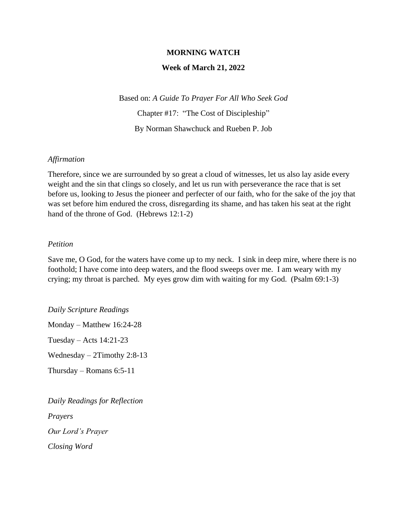#### **MORNING WATCH**

### **Week of March 21, 2022**

Based on: *A Guide To Prayer For All Who Seek God* Chapter #17: "The Cost of Discipleship" By Norman Shawchuck and Rueben P. Job

#### *Affirmation*

Therefore, since we are surrounded by so great a cloud of witnesses, let us also lay aside every weight and the sin that clings so closely, and let us run with perseverance the race that is set before us, looking to Jesus the pioneer and perfecter of our faith, who for the sake of the joy that was set before him endured the cross, disregarding its shame, and has taken his seat at the right hand of the throne of God. (Hebrews 12:1-2)

#### *Petition*

Save me, O God, for the waters have come up to my neck. I sink in deep mire, where there is no foothold; I have come into deep waters, and the flood sweeps over me. I am weary with my crying; my throat is parched. My eyes grow dim with waiting for my God. (Psalm 69:1-3)

*Daily Scripture Readings* Monday – Matthew 16:24-28 Tuesday – Acts 14:21-23 Wednesday – 2Timothy 2:8-13 Thursday – Romans 6:5-11

*Daily Readings for Reflection Prayers Our Lord's Prayer Closing Word*